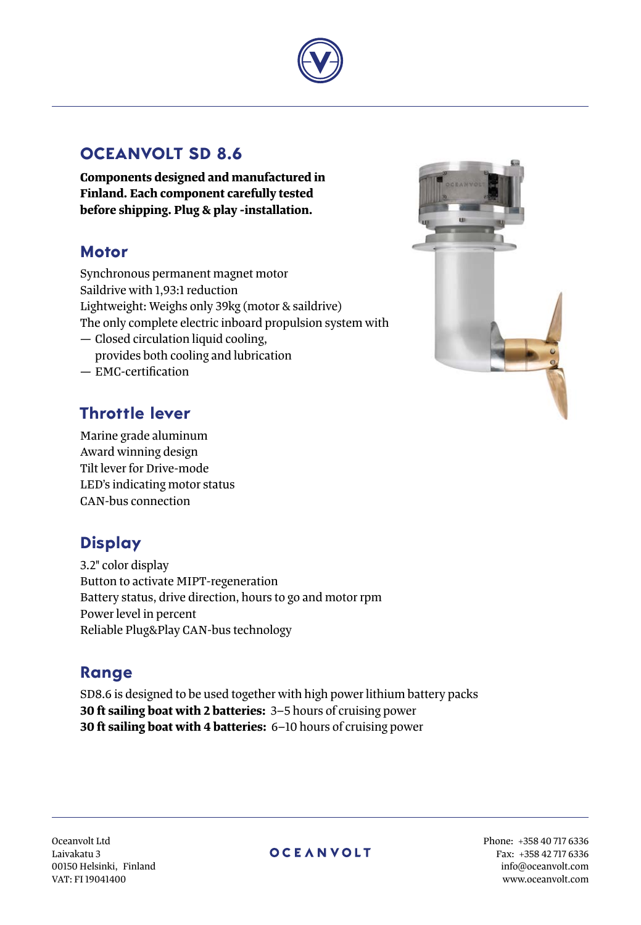

## **OCEANVOLT SD 8.6**

**Components designed and manufactured in Finland. Each component carefully tested before shipping. Plug & play -installation.**

## **Motor**

Synchronous permanent magnet motor Saildrive with 1,93:1 reduction Lightweight: Weighs only 39kg (motor & saildrive) The only complete electric inboard propulsion system with — Closed circulation liquid cooling, provides both cooling and lubrication

— EMC-certification

## **Throttle lever**

Marine grade aluminum Award winning design Tilt lever for Drive-mode LED's indicating motor status CAN-bus connection

# **Display**

3.2" color display Button to activate MIPT-regeneration Battery status, drive direction, hours to go and motor rpm Power level in percent Reliable Plug&Play CAN-bus technology

## **Range**

SD8.6 is designed to be used together with high power lithium battery packs **30 ft sailing boat with 2 batteries:** 3–5 hours of cruising power **30 ft sailing boat with 4 batteries:** 6–10 hours of cruising power



Oceanvolt Ltd Laivakatu 3 00150 Helsinki, Finland VAT: FI 19041400

### **OCEANVOLT**

Phone: +358 40 717 6336 Fax: +358 42 717 6336 info@oceanvolt.com www.oceanvolt.com